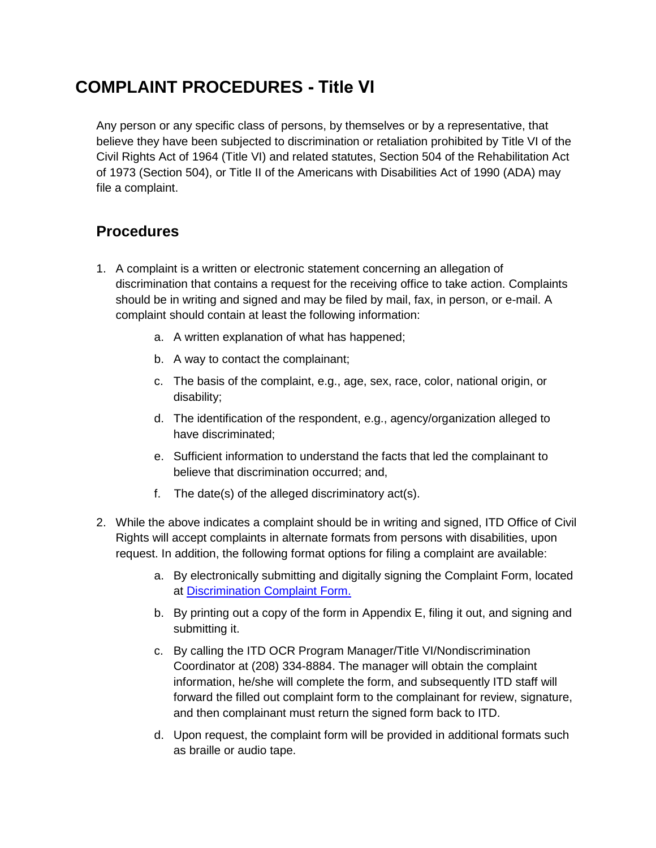## **COMPLAINT PROCEDURES - Title VI**

Any person or any specific class of persons, by themselves or by a representative, that believe they have been subjected to discrimination or retaliation prohibited by Title VI of the Civil Rights Act of 1964 (Title VI) and related statutes, Section 504 of the Rehabilitation Act of 1973 (Section 504), or Title II of the Americans with Disabilities Act of 1990 (ADA) may file a complaint.

## **Procedures**

- 1. A complaint is a written or electronic statement concerning an allegation of discrimination that contains a request for the receiving office to take action. Complaints should be in writing and signed and may be filed by mail, fax, in person, or e-mail. A complaint should contain at least the following information:
	- a. A written explanation of what has happened;
	- b. A way to contact the complainant;
	- c. The basis of the complaint, e.g., age, sex, race, color, national origin, or disability;
	- d. The identification of the respondent, e.g., agency/organization alleged to have discriminated;
	- e. Sufficient information to understand the facts that led the complainant to believe that discrimination occurred; and,
	- f. The date(s) of the alleged discriminatory act(s).
- 2. While the above indicates a complaint should be in writing and signed, ITD Office of Civil Rights will accept complaints in alternate formats from persons with disabilities, upon request. In addition, the following format options for filing a complaint are available:
	- a. By electronically submitting and digitally signing the Complaint Form, located at [Discrimination Complaint Form.](http://www.itd.idaho.gov/ocr/ocrCOMPLAINTS.aspx)
	- b. By printing out a copy of the form in Appendix E, filing it out, and signing and submitting it.
	- c. By calling the ITD OCR Program Manager/Title VI/Nondiscrimination Coordinator at (208) 334-8884. The manager will obtain the complaint information, he/she will complete the form, and subsequently ITD staff will forward the filled out complaint form to the complainant for review, signature, and then complainant must return the signed form back to ITD.
	- d. Upon request, the complaint form will be provided in additional formats such as braille or audio tape.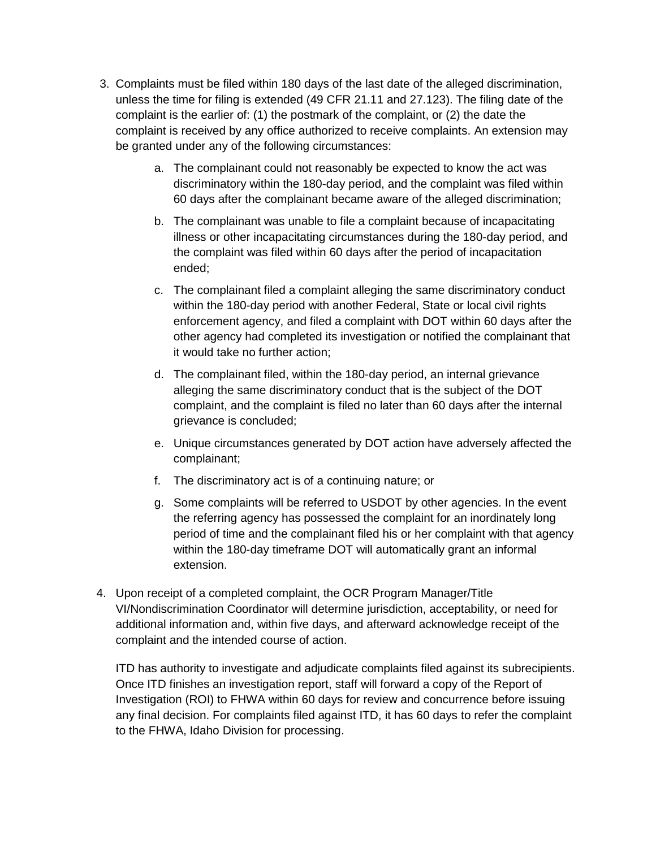- 3. Complaints must be filed within 180 days of the last date of the alleged discrimination, unless the time for filing is extended (49 CFR 21.11 and 27.123). The filing date of the complaint is the earlier of: (1) the postmark of the complaint, or (2) the date the complaint is received by any office authorized to receive complaints. An extension may be granted under any of the following circumstances:
	- a. The complainant could not reasonably be expected to know the act was discriminatory within the 180-day period, and the complaint was filed within 60 days after the complainant became aware of the alleged discrimination;
	- b. The complainant was unable to file a complaint because of incapacitating illness or other incapacitating circumstances during the 180-day period, and the complaint was filed within 60 days after the period of incapacitation ended;
	- c. The complainant filed a complaint alleging the same discriminatory conduct within the 180-day period with another Federal, State or local civil rights enforcement agency, and filed a complaint with DOT within 60 days after the other agency had completed its investigation or notified the complainant that it would take no further action;
	- d. The complainant filed, within the 180-day period, an internal grievance alleging the same discriminatory conduct that is the subject of the DOT complaint, and the complaint is filed no later than 60 days after the internal grievance is concluded;
	- e. Unique circumstances generated by DOT action have adversely affected the complainant;
	- f. The discriminatory act is of a continuing nature; or
	- g. Some complaints will be referred to USDOT by other agencies. In the event the referring agency has possessed the complaint for an inordinately long period of time and the complainant filed his or her complaint with that agency within the 180-day timeframe DOT will automatically grant an informal extension.
- 4. Upon receipt of a completed complaint, the OCR Program Manager/Title VI/Nondiscrimination Coordinator will determine jurisdiction, acceptability, or need for additional information and, within five days, and afterward acknowledge receipt of the complaint and the intended course of action.

ITD has authority to investigate and adjudicate complaints filed against its subrecipients. Once ITD finishes an investigation report, staff will forward a copy of the Report of Investigation (ROI) to FHWA within 60 days for review and concurrence before issuing any final decision. For complaints filed against ITD, it has 60 days to refer the complaint to the FHWA, Idaho Division for processing.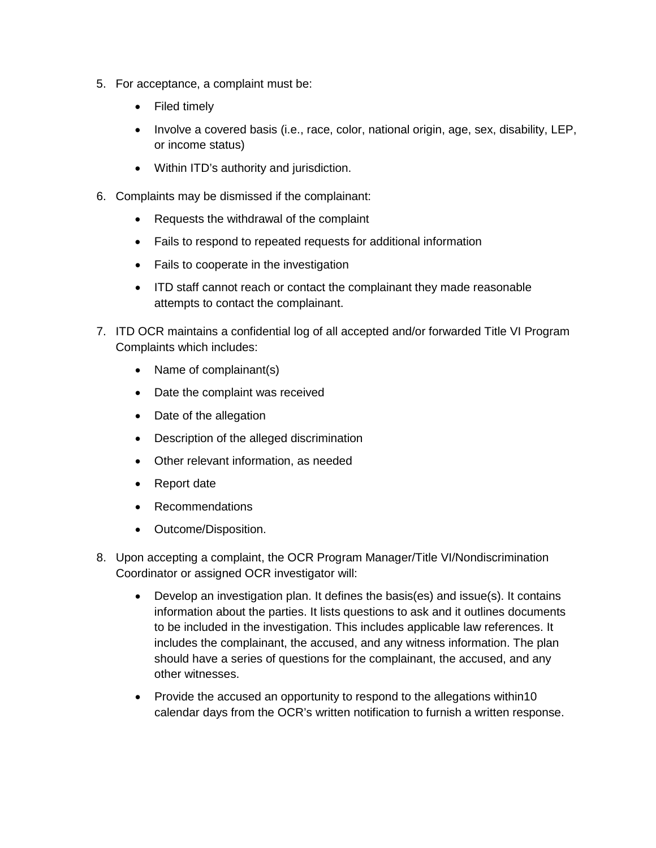- 5. For acceptance, a complaint must be:
	- Filed timely
	- Involve a covered basis (i.e., race, color, national origin, age, sex, disability, LEP, or income status)
	- Within ITD's authority and jurisdiction.
- 6. Complaints may be dismissed if the complainant:
	- Requests the withdrawal of the complaint
	- Fails to respond to repeated requests for additional information
	- Fails to cooperate in the investigation
	- ITD staff cannot reach or contact the complainant they made reasonable attempts to contact the complainant.
- 7. ITD OCR maintains a confidential log of all accepted and/or forwarded Title VI Program Complaints which includes:
	- Name of complainant(s)
	- Date the complaint was received
	- Date of the allegation
	- Description of the alleged discrimination
	- Other relevant information, as needed
	- Report date
	- Recommendations
	- Outcome/Disposition.
- 8. Upon accepting a complaint, the OCR Program Manager/Title VI/Nondiscrimination Coordinator or assigned OCR investigator will:
	- Develop an investigation plan. It defines the basis(es) and issue(s). It contains information about the parties. It lists questions to ask and it outlines documents to be included in the investigation. This includes applicable law references. It includes the complainant, the accused, and any witness information. The plan should have a series of questions for the complainant, the accused, and any other witnesses.
	- Provide the accused an opportunity to respond to the allegations within10 calendar days from the OCR's written notification to furnish a written response.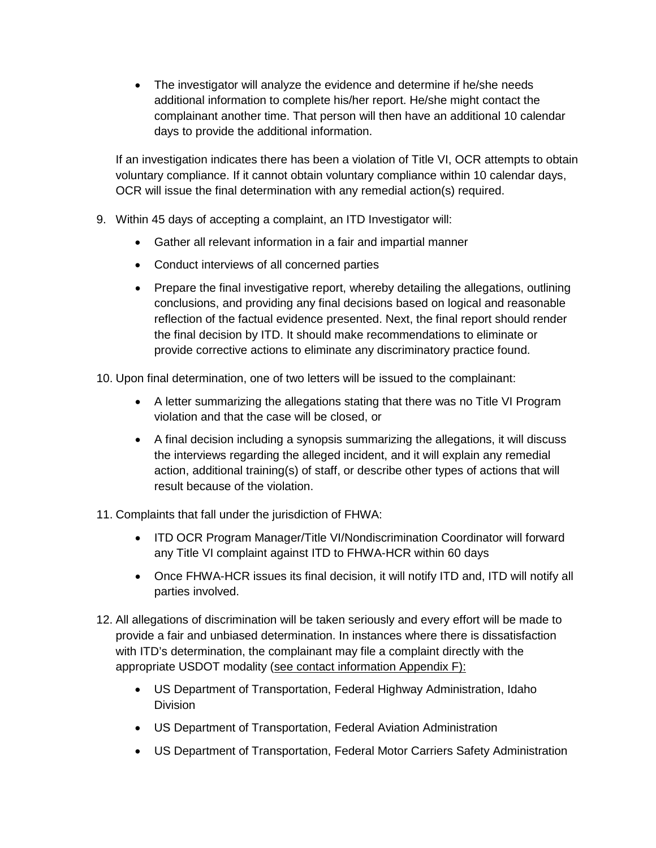• The investigator will analyze the evidence and determine if he/she needs additional information to complete his/her report. He/she might contact the complainant another time. That person will then have an additional 10 calendar days to provide the additional information.

If an investigation indicates there has been a violation of Title VI, OCR attempts to obtain voluntary compliance. If it cannot obtain voluntary compliance within 10 calendar days, OCR will issue the final determination with any remedial action(s) required.

- 9. Within 45 days of accepting a complaint, an ITD Investigator will:
	- Gather all relevant information in a fair and impartial manner
	- Conduct interviews of all concerned parties
	- Prepare the final investigative report, whereby detailing the allegations, outlining conclusions, and providing any final decisions based on logical and reasonable reflection of the factual evidence presented. Next, the final report should render the final decision by ITD. It should make recommendations to eliminate or provide corrective actions to eliminate any discriminatory practice found.

10. Upon final determination, one of two letters will be issued to the complainant:

- A letter summarizing the allegations stating that there was no Title VI Program violation and that the case will be closed, or
- A final decision including a synopsis summarizing the allegations, it will discuss the interviews regarding the alleged incident, and it will explain any remedial action, additional training(s) of staff, or describe other types of actions that will result because of the violation.
- 11. Complaints that fall under the jurisdiction of FHWA:
	- ITD OCR Program Manager/Title VI/Nondiscrimination Coordinator will forward any Title VI complaint against ITD to FHWA-HCR within 60 days
	- Once FHWA-HCR issues its final decision, it will notify ITD and, ITD will notify all parties involved.
- 12. All allegations of discrimination will be taken seriously and every effort will be made to provide a fair and unbiased determination. In instances where there is dissatisfaction with ITD's determination, the complainant may file a complaint directly with the appropriate USDOT modality (see contact information Appendix F):
	- US Department of Transportation, Federal Highway Administration, Idaho Division
	- US Department of Transportation, Federal Aviation Administration
	- US Department of Transportation, Federal Motor Carriers Safety Administration